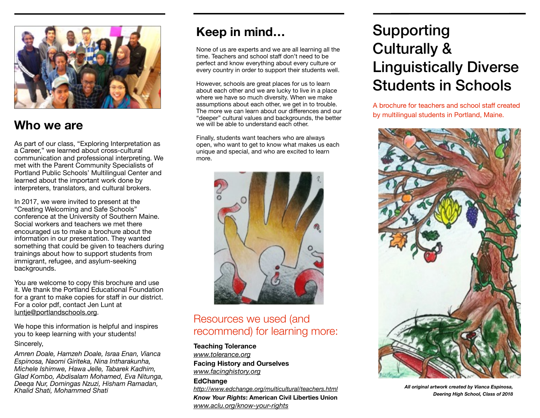

# **Who we are**

As part of our class, "Exploring Interpretation as a Career," we learned about cross-cultural communication and professional interpreting. We met with the Parent Community Specialists of Portland Public Schools' Multilingual Center and learned about the important work done by interpreters, translators, and cultural brokers.

In 2017, we were invited to present at the "Creating Welcoming and Safe Schools" conference at the University of Southern Maine. Social workers and teachers we met there encouraged us to make a brochure about the information in our presentation. They wanted something that could be given to teachers during trainings about how to support students from immigrant, refugee, and asylum-seeking backgrounds.

You are welcome to copy this brochure and use it. We thank the Portland Educational Foundation for a grant to make copies for staff in our district. For a color pdf, contact Jen Lunt at [luntje@portlandschools.org](mailto:luntje@portlandschools.org).

We hope this information is helpful and inspires you to keep learning with your students! Sincerely,

*Amren Doale, Hamzeh Doale, Israa Enan, Vianca Espinosa, Naomi Giriteka, Nina Intharakunha, Michele Ishimwe, Hawa Jelle, Tabarek Kadhim, Glad Kombo, Abdisalam Mohamed, Eva Nitunga, Deeqa Nur, Domingas Nzuzi, Hisham Ramadan, Khalid Shati, Mohammed Shati* 

# **Keep in mind…**

None of us are experts and we are all learning all the time. Teachers and school staff don't need to be perfect and know everything about every culture or every country in order to support their students well.

However, schools are great places for us to learn about each other and we are lucky to live in a place where we have so much diversity. When we make assumptions about each other, we get in to trouble. The more we can learn about our differences and our "deeper" cultural values and backgrounds, the better we will be able to understand each other.

Finally, students want teachers who are always open, who want to get to know what makes us each unique and special, and who are excited to learn more.



# Resources we used (and recommend) for learning more:

**Teaching Tolerance** 

*[www.tolerance.org](http://www.tolerance.org)* **Facing History and Ourselves** 

*[www.facinghistory.org](http://www.facinghistory.org)* **EdChange** 

*<http://www.edchange.org/multicultural/teachers.html> Know Your Rights***: American Civil Liberties Union**  *[www.aclu.org/know-your-rights](http://www.aclu.org/know-your-rights)*

# Supporting Culturally & Linguistically Diverse Students in Schools

A brochure for teachers and school staff created by multilingual students in Portland, Maine.



*All original artwork created by Vianca Espinosa, Deering High School, Class of 2018*